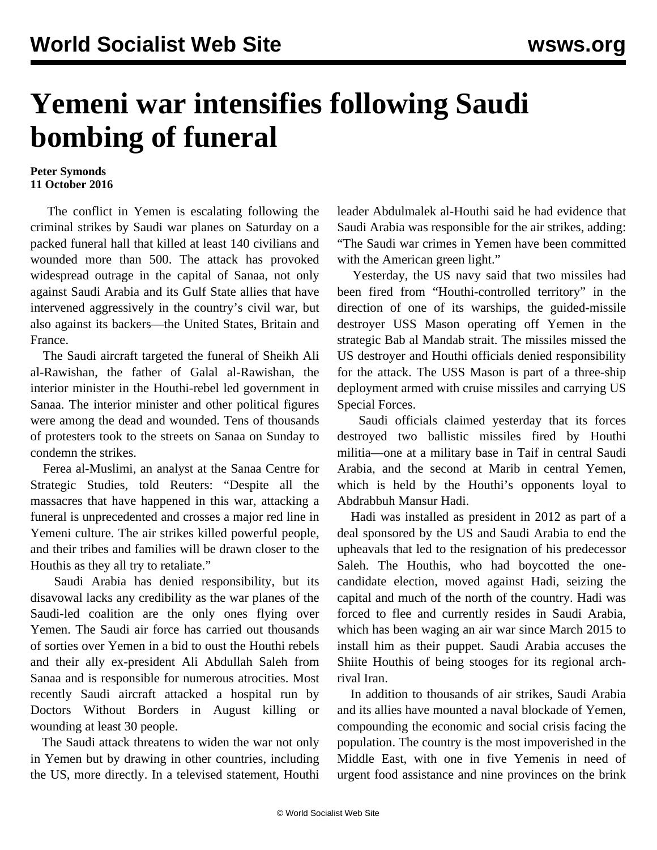## **Yemeni war intensifies following Saudi bombing of funeral**

## **Peter Symonds 11 October 2016**

 The conflict in Yemen is escalating following the criminal strikes by Saudi war planes on Saturday on a packed funeral hall that killed at least 140 civilians and wounded more than 500. The attack has provoked widespread outrage in the capital of Sanaa, not only against Saudi Arabia and its Gulf State allies that have intervened aggressively in the country's civil war, but also against its backers—the United States, Britain and France.

 The Saudi aircraft targeted the funeral of Sheikh Ali al-Rawishan, the father of Galal al-Rawishan, the interior minister in the Houthi-rebel led government in Sanaa. The interior minister and other political figures were among the dead and wounded. Tens of thousands of protesters took to the streets on Sanaa on Sunday to condemn the strikes.

 Ferea al-Muslimi, an analyst at the Sanaa Centre for Strategic Studies, told Reuters: "Despite all the massacres that have happened in this war, attacking a funeral is unprecedented and crosses a major red line in Yemeni culture. The air strikes killed powerful people, and their tribes and families will be drawn closer to the Houthis as they all try to retaliate."

 Saudi Arabia has denied responsibility, but its disavowal lacks any credibility as the war planes of the Saudi-led coalition are the only ones flying over Yemen. The Saudi air force has carried out thousands of sorties over Yemen in a bid to oust the Houthi rebels and their ally ex-president Ali Abdullah Saleh from Sanaa and is responsible for numerous atrocities. Most recently Saudi aircraft attacked a hospital run by Doctors Without Borders in August killing or wounding at least 30 people.

 The Saudi attack threatens to widen the war not only in Yemen but by drawing in other countries, including the US, more directly. In a televised statement, Houthi leader Abdulmalek al-Houthi said he had evidence that Saudi Arabia was responsible for the air strikes, adding: "The Saudi war crimes in Yemen have been committed with the American green light."

 Yesterday, the US navy said that two missiles had been fired from "Houthi-controlled territory" in the direction of one of its warships, the guided-missile destroyer USS Mason operating off Yemen in the strategic Bab al Mandab strait. The missiles missed the US destroyer and Houthi officials denied responsibility for the attack. The USS Mason is part of a three-ship deployment armed with cruise missiles and carrying US Special Forces.

 Saudi officials claimed yesterday that its forces destroyed two ballistic missiles fired by Houthi militia—one at a military base in Taif in central Saudi Arabia, and the second at Marib in central Yemen, which is held by the Houthi's opponents loyal to Abdrabbuh Mansur Hadi.

 Hadi was installed as president in 2012 as part of a deal sponsored by the US and Saudi Arabia to end the upheavals that led to the resignation of his predecessor Saleh. The Houthis, who had boycotted the onecandidate election, moved against Hadi, seizing the capital and much of the north of the country. Hadi was forced to flee and currently resides in Saudi Arabia, which has been waging an air war since March 2015 to install him as their puppet. Saudi Arabia accuses the Shiite Houthis of being stooges for its regional archrival Iran.

 In addition to thousands of air strikes, Saudi Arabia and its allies have mounted a naval blockade of Yemen, compounding the economic and social crisis facing the population. The country is the most impoverished in the Middle East, with one in five Yemenis in need of urgent food assistance and nine provinces on the brink